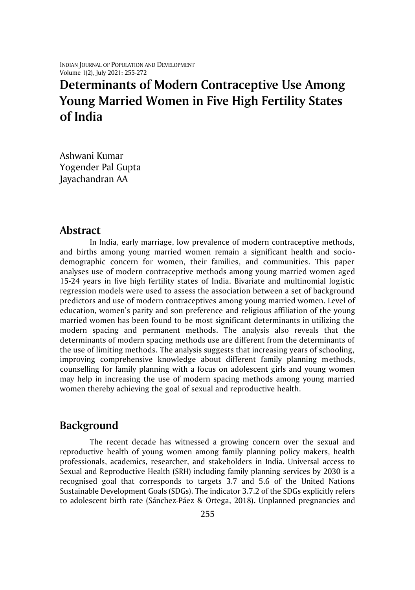INDIAN JOURNAL OF POPULATION AND DEVELOPMENT Volume 1(2), July 2021: 255-272

# **Determinants of Modern Contraceptive Use Among Young Married Women in Five High Fertility States of India**

Ashwani Kumar Yogender Pal Gupta Jayachandran AA

### **Abstract**

In India, early marriage, low prevalence of modern contraceptive methods, and births among young married women remain a significant health and sociodemographic concern for women, their families, and communities. This paper analyses use of modern contraceptive methods among young married women aged 15-24 years in five high fertility states of India. Bivariate and multinomial logistic regression models were used to assess the association between a set of background predictors and use of modern contraceptives among young married women. Level of education, women's parity and son preference and religious affiliation of the young married women has been found to be most significant determinants in utilizing the modern spacing and permanent methods. The analysis also reveals that the determinants of modern spacing methods use are different from the determinants of the use of limiting methods. The analysis suggests that increasing years of schooling, improving comprehensive knowledge about different family planning methods, counselling for family planning with a focus on adolescent girls and young women may help in increasing the use of modern spacing methods among young married women thereby achieving the goal of sexual and reproductive health.

## **Background**

The recent decade has witnessed a growing concern over the sexual and reproductive health of young women among family planning policy makers, health professionals, academics, researcher, and stakeholders in India. Universal access to Sexual and Reproductive Health (SRH) including family planning services by 2030 is a recognised goal that corresponds to targets 3.7 and 5.6 of the United Nations Sustainable Development Goals (SDGs). The indicator 3.7.2 of the SDGs explicitly refers to adolescent birth rate (Sánchez-Páez & Ortega, 2018). Unplanned pregnancies and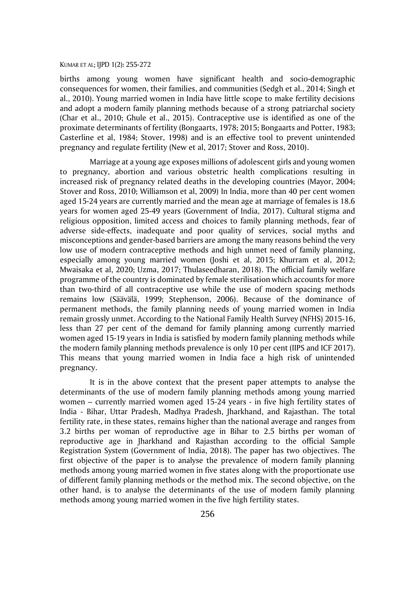births among young women have significant health and socio-demographic consequences for women, their families, and communities (Sedgh et al., 2014; Singh et al., 2010). Young married women in India have little scope to make fertility decisions and adopt a modern family planning methods because of a strong patriarchal society (Char et al., 2010; Ghule et al., 2015). Contraceptive use is identified as one of the proximate determinants of fertility (Bongaarts, 1978; 2015; Bongaarts and Potter, 1983; Casterline et al, 1984; Stover, 1998) and is an effective tool to prevent unintended pregnancy and regulate fertility (New et al, 2017; Stover and Ross, 2010).

Marriage at a young age exposes millions of adolescent girls and young women to pregnancy, abortion and various obstetric health complications resulting in increased risk of pregnancy related deaths in the developing countries (Mayor, 2004; Stover and Ross, 2010; Williamson et al, 2009) In India, more than 40 per cent women aged 15-24 years are currently married and the mean age at marriage of females is 18.6 years for women aged 25-49 years (Government of India, 2017). Cultural stigma and religious opposition, limited access and choices to family planning methods, fear of adverse side-effects, inadequate and poor quality of services, social myths and misconceptions and gender-based barriers are among the many reasons behind the very low use of modern contraceptive methods and high unmet need of family planning, especially among young married women (Joshi et al, 2015; Khurram et al, 2012; Mwaisaka et al, 2020; Uzma, 2017; Thulaseedharan, 2018). The official family welfare programme of the country is dominated by female sterilisation which accounts for more than two-third of all contraceptive use while the use of modern spacing methods remains low (Säävälä, 1999; Stephenson, 2006). Because of the dominance of permanent methods, the family planning needs of young married women in India remain grossly unmet. According to the National Family Health Survey (NFHS) 2015-16, less than 27 per cent of the demand for family planning among currently married women aged 15-19 years in India is satisfied by modern family planning methods while the modern family planning methods prevalence is only 10 per cent (IIPS and ICF 2017). This means that young married women in India face a high risk of unintended pregnancy.

It is in the above context that the present paper attempts to analyse the determinants of the use of modern family planning methods among young married women – currently married women aged 15-24 years - in five high fertility states of India - Bihar, Uttar Pradesh, Madhya Pradesh, Jharkhand, and Rajasthan. The total fertility rate, in these states, remains higher than the national average and ranges from 3.2 births per woman of reproductive age in Bihar to 2.5 births per woman of reproductive age in Jharkhand and Rajasthan according to the official Sample Registration System (Government of India, 2018). The paper has two objectives. The first objective of the paper is to analyse the prevalence of modern family planning methods among young married women in five states along with the proportionate use of different family planning methods or the method mix. The second objective, on the other hand, is to analyse the determinants of the use of modern family planning methods among young married women in the five high fertility states.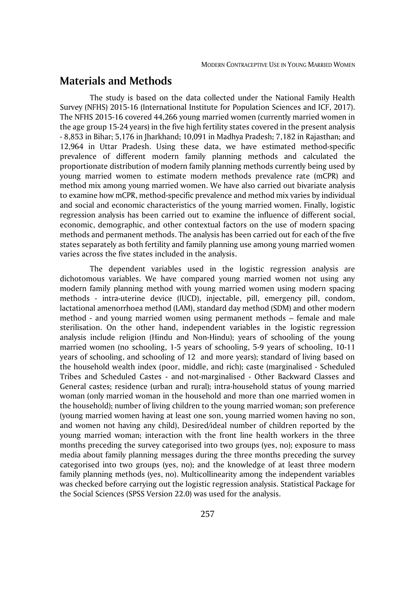# **Materials and Methods**

The study is based on the data collected under the National Family Health Survey (NFHS) 2015-16 (International Institute for Population Sciences and ICF, 2017). The NFHS 2015-16 covered 44,266 young married women (currently married women in the age group 15-24 years) in the five high fertility states covered in the present analysis - 8,853 in Bihar; 5,176 in Jharkhand; 10,091 in Madhya Pradesh; 7,182 in Rajasthan; and 12,964 in Uttar Pradesh. Using these data, we have estimated method-specific prevalence of different modern family planning methods and calculated the proportionate distribution of modern family planning methods currently being used by young married women to estimate modern methods prevalence rate (mCPR) and method mix among young married women. We have also carried out bivariate analysis to examine how mCPR, method-specific prevalence and method mix varies by individual and social and economic characteristics of the young married women. Finally, logistic regression analysis has been carried out to examine the influence of different social, economic, demographic, and other contextual factors on the use of modern spacing methods and permanent methods. The analysis has been carried out for each of the five states separately as both fertility and family planning use among young married women varies across the five states included in the analysis.

The dependent variables used in the logistic regression analysis are dichotomous variables. We have compared young married women not using any modern family planning method with young married women using modern spacing methods - intra-uterine device (IUCD), injectable, pill, emergency pill, condom, lactational amenorrhoea method (LAM), standard day method (SDM) and other modern method - and young married women using permanent methods – female and male sterilisation. On the other hand, independent variables in the logistic regression analysis include religion (Hindu and Non-Hindu); years of schooling of the young married women (no schooling, 1-5 years of schooling, 5-9 years of schooling, 10-11 years of schooling, and schooling of 12 and more years); standard of living based on the household wealth index (poor, middle, and rich); caste (marginalised - Scheduled Tribes and Scheduled Castes - and not-marginalised - Other Backward Classes and General castes; residence (urban and rural); intra-household status of young married woman (only married woman in the household and more than one married women in the household); number of living children to the young married woman; son preference (young married women having at least one son, young married women having no son, and women not having any child), Desired/ideal number of children reported by the young married woman; interaction with the front line health workers in the three months preceding the survey categorised into two groups (yes, no); exposure to mass media about family planning messages during the three months preceding the survey categorised into two groups (yes, no); and the knowledge of at least three modern family planning methods (yes, no). Multicollinearity among the independent variables was checked before carrying out the logistic regression analysis. Statistical Package for the Social Sciences (SPSS Version 22.0) was used for the analysis.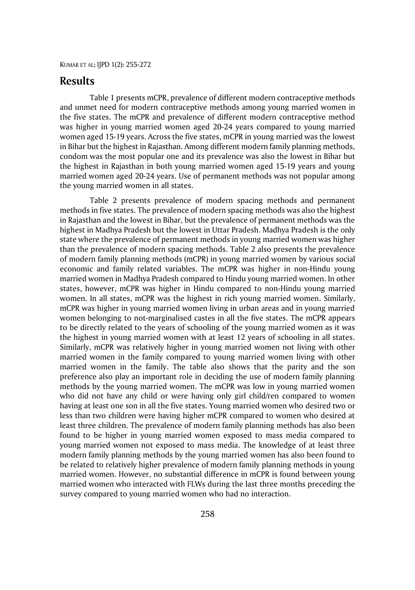## **Results**

Table 1 presents mCPR, prevalence of different modern contraceptive methods and unmet need for modern contraceptive methods among young married women in the five states. The mCPR and prevalence of different modern contraceptive method was higher in young married women aged 20-24 years compared to young married women aged 15-19 years. Across the five states, mCPR in young married was the lowest in Bihar but the highest in Rajasthan. Among different modern family planning methods, condom was the most popular one and its prevalence was also the lowest in Bihar but the highest in Rajasthan in both young married women aged 15-19 years and young married women aged 20-24 years. Use of permanent methods was not popular among the young married women in all states.

Table 2 presents prevalence of modern spacing methods and permanent methods in five states. The prevalence of modern spacing methods was also the highest in Rajasthan and the lowest in Bihar, but the prevalence of permanent methods was the highest in Madhya Pradesh but the lowest in Uttar Pradesh. Madhya Pradesh is the only state where the prevalence of permanent methods in young married women was higher than the prevalence of modern spacing methods. Table 2 also presents the prevalence of modern family planning methods (mCPR) in young married women by various social economic and family related variables. The mCPR was higher in non-Hindu young married women in Madhya Pradesh compared to Hindu young married women. In other states, however, mCPR was higher in Hindu compared to non-Hindu young married women. In all states, mCPR was the highest in rich young married women. Similarly, mCPR was higher in young married women living in urban areas and in young married women belonging to not-marginalised castes in all the five states. The mCPR appears to be directly related to the years of schooling of the young married women as it was the highest in young married women with at least 12 years of schooling in all states. Similarly, mCPR was relatively higher in young married women not living with other married women in the family compared to young married women living with other married women in the family. The table also shows that the parity and the son preference also play an important role in deciding the use of modern family planning methods by the young married women. The mCPR was low in young married women who did not have any child or were having only girl child/ren compared to women having at least one son in all the five states. Young married women who desired two or less than two children were having higher mCPR compared to women who desired at least three children. The prevalence of modern family planning methods has also been found to be higher in young married women exposed to mass media compared to young married women not exposed to mass media. The knowledge of at least three modern family planning methods by the young married women has also been found to be related to relatively higher prevalence of modern family planning methods in young married women. However, no substantial difference in mCPR is found between young married women who interacted with FLWs during the last three months preceding the survey compared to young married women who had no interaction.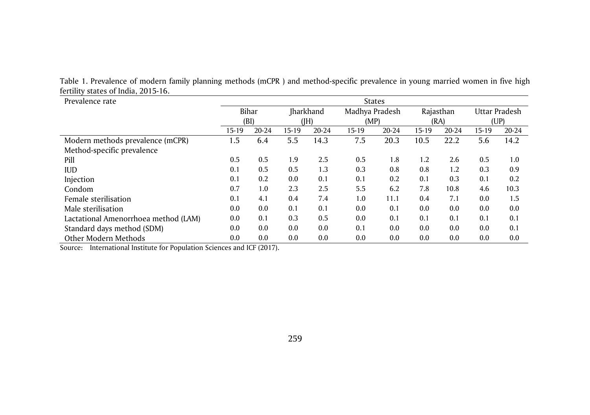Table 1. Prevalence of modern family planning methods (mCPR ) and method-specific prevalence in young married women in five high fertility states of India, 2015-16.

| Prevalence rate                      | <b>States</b> |       |                  |       |                |       |           |       |               |       |  |  |
|--------------------------------------|---------------|-------|------------------|-------|----------------|-------|-----------|-------|---------------|-------|--|--|
|                                      | Bihar         |       | <b>Jharkhand</b> |       | Madhya Pradesh |       | Rajasthan |       | Uttar Pradesh |       |  |  |
|                                      |               | (BI)  |                  | (H)   |                | (MP)  |           | (RA)  |               | (UP)  |  |  |
|                                      | $15 - 19$     | 20-24 | 15-19            | 20-24 | 15-19          | 20-24 | 15-19     | 20-24 | 15-19         | 20-24 |  |  |
| Modern methods prevalence (mCPR)     | 1.5           | 6.4   | 5.5              | 14.3  | 7.5            | 20.3  | 10.5      | 22.2  | 5.6           | 14.2  |  |  |
| Method-specific prevalence           |               |       |                  |       |                |       |           |       |               |       |  |  |
| Pill                                 | 0.5           | 0.5   | 1.9              | 2.5   | 0.5            | 1.8   | 1.2       | 2.6   | 0.5           | 1.0   |  |  |
| <b>IUD</b>                           | 0.1           | 0.5   | 0.5              | 1.3   | 0.3            | 0.8   | 0.8       | 1.2   | 0.3           | 0.9   |  |  |
| Injection                            | 0.1           | 0.2   | 0.0              | 0.1   | 0.1            | 0.2   | 0.1       | 0.3   | 0.1           | 0.2   |  |  |
| Condom                               | 0.7           | 1.0   | 2.3              | 2.5   | 5.5            | 6.2   | 7.8       | 10.8  | 4.6           | 10.3  |  |  |
| Female sterilisation                 | 0.1           | 4.1   | 0.4              | 7.4   | 1.0            | 11.1  | 0.4       | 7.1   | 0.0           | 1.5   |  |  |
| Male sterilisation                   | 0.0           | 0.0   | 0.1              | 0.1   | 0.0            | 0.1   | 0.0       | 0.0   | 0.0           | 0.0   |  |  |
| Lactational Amenorrhoea method (LAM) | 0.0           | 0.1   | 0.3              | 0.5   | 0.0            | 0.1   | 0.1       | 0.1   | 0.1           | 0.1   |  |  |
| Standard days method (SDM)           | 0.0           | 0.0   | 0.0              | 0.0   | 0.1            | 0.0   | 0.0       | 0.0   | 0.0           | 0.1   |  |  |
| Other Modern Methods                 | 0.0           | 0.0   | 0.0              | 0.0   | 0.0            | 0.0   | 0.0       | 0.0   | 0.0           | 0.0   |  |  |

Source: International Institute for Population Sciences and ICF (2017).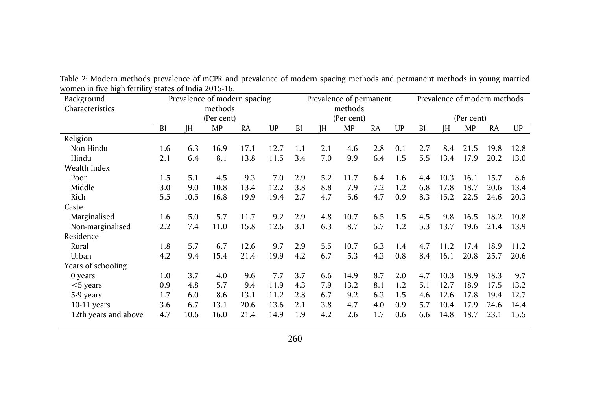| Background           |     |           |            | Prevalence of modern spacing |      |     |     | Prevalence of permanent |           |     |            | Prevalence of modern methods |           |           |      |
|----------------------|-----|-----------|------------|------------------------------|------|-----|-----|-------------------------|-----------|-----|------------|------------------------------|-----------|-----------|------|
| Characteristics      |     |           | methods    |                              |      |     |     | methods                 |           |     |            |                              |           |           |      |
|                      |     |           | (Per cent) |                              |      |     |     | (Per cent)              |           |     | (Per cent) |                              |           |           |      |
|                      | BI  | <b>IH</b> | MP         | <b>RA</b>                    | UP   | BI  | JH  | MP                      | <b>RA</b> | UP  | BI         | ΙH                           | <b>MP</b> | <b>RA</b> | UP   |
| Religion             |     |           |            |                              |      |     |     |                         |           |     |            |                              |           |           |      |
| Non-Hindu            | 1.6 | 6.3       | 16.9       | 17.1                         | 12.7 | 1.1 | 2.1 | 4.6                     | 2.8       | 0.1 | 2.7        | 8.4                          | 21.5      | 19.8      | 12.8 |
| Hindu                | 2.1 | 6.4       | 8.1        | 13.8                         | 11.5 | 3.4 | 7.0 | 9.9                     | 6.4       | 1.5 | 5.5        | 13.4                         | 17.9      | 20.2      | 13.0 |
| Wealth Index         |     |           |            |                              |      |     |     |                         |           |     |            |                              |           |           |      |
| Poor                 | 1.5 | 5.1       | 4.5        | 9.3                          | 7.0  | 2.9 | 5.2 | 11.7                    | 6.4       | 1.6 | 4.4        | 10.3                         | 16.1      | 15.7      | 8.6  |
| Middle               | 3.0 | 9.0       | 10.8       | 13.4                         | 12.2 | 3.8 | 8.8 | 7.9                     | 7.2       | 1.2 | 6.8        | 17.8                         | 18.7      | 20.6      | 13.4 |
| Rich                 | 5.5 | 10.5      | 16.8       | 19.9                         | 19.4 | 2.7 | 4.7 | 5.6                     | 4.7       | 0.9 | 8.3        | 15.2                         | 22.5      | 24.6      | 20.3 |
| Caste                |     |           |            |                              |      |     |     |                         |           |     |            |                              |           |           |      |
| Marginalised         | 1.6 | 5.0       | 5.7        | 11.7                         | 9.2  | 2.9 | 4.8 | 10.7                    | 6.5       | 1.5 | 4.5        | 9.8                          | 16.5      | 18.2      | 10.8 |
| Non-marginalised     | 2.2 | 7.4       | 11.0       | 15.8                         | 12.6 | 3.1 | 6.3 | 8.7                     | 5.7       | 1.2 | 5.3        | 13.7                         | 19.6      | 21.4      | 13.9 |
| Residence            |     |           |            |                              |      |     |     |                         |           |     |            |                              |           |           |      |
| Rural                | 1.8 | 5.7       | 6.7        | 12.6                         | 9.7  | 2.9 | 5.5 | 10.7                    | 6.3       | 1.4 | 4.7        | 11.2                         | 17.4      | 18.9      | 11.2 |
| Urban                | 4.2 | 9.4       | 15.4       | 21.4                         | 19.9 | 4.2 | 6.7 | 5.3                     | 4.3       | 0.8 | 8.4        | 16.1                         | 20.8      | 25.7      | 20.6 |
| Years of schooling   |     |           |            |                              |      |     |     |                         |           |     |            |                              |           |           |      |
| 0 years              | 1.0 | 3.7       | 4.0        | 9.6                          | 7.7  | 3.7 | 6.6 | 14.9                    | 8.7       | 2.0 | 4.7        | 10.3                         | 18.9      | 18.3      | 9.7  |
| $<$ 5 years          | 0.9 | 4.8       | 5.7        | 9.4                          | 11.9 | 4.3 | 7.9 | 13.2                    | 8.1       | 1.2 | 5.1        | 12.7                         | 18.9      | 17.5      | 13.2 |
| 5-9 years            | 1.7 | 6.0       | 8.6        | 13.1                         | 11.2 | 2.8 | 6.7 | 9.2                     | 6.3       | 1.5 | 4.6        | 12.6                         | 17.8      | 19.4      | 12.7 |
| $10-11$ years        | 3.6 | 6.7       | 13.1       | 20.6                         | 13.6 | 2.1 | 3.8 | 4.7                     | 4.0       | 0.9 | 5.7        | 10.4                         | 17.9      | 24.6      | 14.4 |
| 12th years and above | 4.7 | 10.6      | 16.0       | 21.4                         | 14.9 | 1.9 | 4.2 | 2.6                     | 1.7       | 0.6 | 6.6        | 14.8                         | 18.7      | 23.1      | 15.5 |

Table 2: Modern methods prevalence of mCPR and prevalence of modern spacing methods and permanent methods in young married women in five high fertility states of India 2015-16.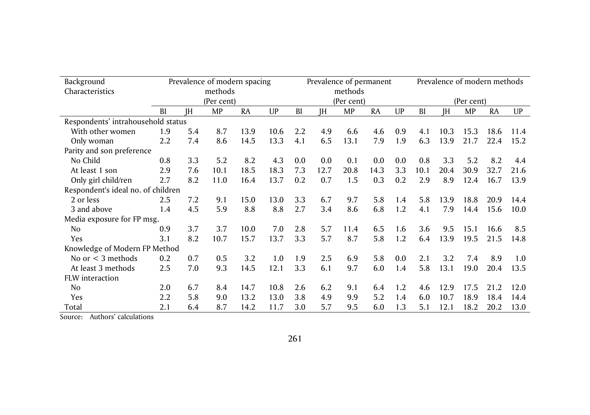| Background                         | Prevalence of modern spacing |           |            |           |      | Prevalence of permanent |           |      |      | Prevalence of modern methods |      |      |           |           |      |
|------------------------------------|------------------------------|-----------|------------|-----------|------|-------------------------|-----------|------|------|------------------------------|------|------|-----------|-----------|------|
| Characteristics                    | methods                      |           |            |           |      | methods                 |           |      |      |                              |      |      |           |           |      |
|                                    |                              |           | (Per cent) |           |      | (Per cent)              |           |      |      | (Per cent)                   |      |      |           |           |      |
|                                    | <b>BI</b>                    | <b>IH</b> | MP         | <b>RA</b> | UP   | BI                      | <b>IH</b> | MP   | RA   | UP                           | BI   | ΙH   | <b>MP</b> | <b>RA</b> | UP   |
| Respondents' intrahousehold status |                              |           |            |           |      |                         |           |      |      |                              |      |      |           |           |      |
| With other women                   | 1.9                          | 5.4       | 8.7        | 13.9      | 10.6 | 2.2                     | 4.9       | 6.6  | 4.6  | 0.9                          | 4.1  | 10.3 | 15.3      | 18.6      | 11.4 |
| Only woman                         | 2.2                          | 7.4       | 8.6        | 14.5      | 13.3 | 4.1                     | 6.5       | 13.1 | 7.9  | 1.9                          | 6.3  | 13.9 | 21.7      | 22.4      | 15.2 |
| Parity and son preference          |                              |           |            |           |      |                         |           |      |      |                              |      |      |           |           |      |
| No Child                           | 0.8                          | 3.3       | 5.2        | 8.2       | 4.3  | 0.0                     | 0.0       | 0.1  | 0.0  | 0.0                          | 0.8  | 3.3  | 5.2       | 8.2       | 4.4  |
| At least 1 son                     | 2.9                          | 7.6       | 10.1       | 18.5      | 18.3 | 7.3                     | 12.7      | 20.8 | 14.3 | 3.3                          | 10.1 | 20.4 | 30.9      | 32.7      | 21.6 |
| Only girl child/ren                | 2.7                          | 8.2       | 11.0       | 16.4      | 13.7 | 0.2                     | 0.7       | 1.5  | 0.3  | 0.2                          | 2.9  | 8.9  | 12.4      | 16.7      | 13.9 |
| Respondent's ideal no. of children |                              |           |            |           |      |                         |           |      |      |                              |      |      |           |           |      |
| 2 or less                          | 2.5                          | 7.2       | 9.1        | 15.0      | 13.0 | 3.3                     | 6.7       | 9.7  | 5.8  | 1.4                          | 5.8  | 13.9 | 18.8      | 20.9      | 14.4 |
| 3 and above                        | 1.4                          | 4.5       | 5.9        | 8.8       | 8.8  | 2.7                     | 3.4       | 8.6  | 6.8  | 1.2                          | 4.1  | 7.9  | 14.4      | 15.6      | 10.0 |
| Media exposure for FP msg.         |                              |           |            |           |      |                         |           |      |      |                              |      |      |           |           |      |
| N <sub>0</sub>                     | 0.9                          | 3.7       | 3.7        | 10.0      | 7.0  | 2.8                     | 5.7       | 11.4 | 6.5  | 1.6                          | 3.6  | 9.5  | 15.1      | 16.6      | 8.5  |
| Yes                                | 3.1                          | 8.2       | 10.7       | 15.7      | 13.7 | 3.3                     | 5.7       | 8.7  | 5.8  | 1.2                          | 6.4  | 13.9 | 19.5      | 21.5      | 14.8 |
| Knowledge of Modern FP Method      |                              |           |            |           |      |                         |           |      |      |                              |      |      |           |           |      |
| No or $<$ 3 methods                | 0.2                          | 0.7       | 0.5        | 3.2       | 1.0  | 1.9                     | 2.5       | 6.9  | 5.8  | 0.0                          | 2.1  | 3.2  | 7.4       | 8.9       | 1.0  |
| At least 3 methods                 | 2.5                          | 7.0       | 9.3        | 14.5      | 12.1 | 3.3                     | 6.1       | 9.7  | 6.0  | 1.4                          | 5.8  | 13.1 | 19.0      | 20.4      | 13.5 |
| FLW interaction                    |                              |           |            |           |      |                         |           |      |      |                              |      |      |           |           |      |
| No.                                | 2.0                          | 6.7       | 8.4        | 14.7      | 10.8 | 2.6                     | 6.2       | 9.1  | 6.4  | 1.2                          | 4.6  | 12.9 | 17.5      | 21.2      | 12.0 |
| Yes                                | 2.2                          | 5.8       | 9.0        | 13.2      | 13.0 | 3.8                     | 4.9       | 9.9  | 5.2  | 1.4                          | 6.0  | 10.7 | 18.9      | 18.4      | 14.4 |
| Total                              | 2.1                          | 6.4       | 8.7        | 14.2      | 11.7 | 3.0                     | 5.7       | 9.5  | 6.0  | 1.3                          | 5.1  | 12.1 | 18.2      | 20.2      | 13.0 |

Source: Authors' calculations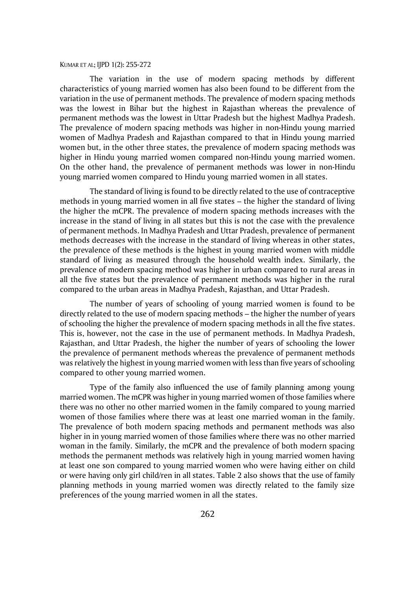The variation in the use of modern spacing methods by different characteristics of young married women has also been found to be different from the variation in the use of permanent methods. The prevalence of modern spacing methods was the lowest in Bihar but the highest in Rajasthan whereas the prevalence of permanent methods was the lowest in Uttar Pradesh but the highest Madhya Pradesh. The prevalence of modern spacing methods was higher in non-Hindu young married women of Madhya Pradesh and Rajasthan compared to that in Hindu young married women but, in the other three states, the prevalence of modern spacing methods was higher in Hindu young married women compared non-Hindu young married women. On the other hand, the prevalence of permanent methods was lower in non-Hindu young married women compared to Hindu young married women in all states.

The standard of living is found to be directly related to the use of contraceptive methods in young married women in all five states – the higher the standard of living the higher the mCPR. The prevalence of modern spacing methods increases with the increase in the stand of living in all states but this is not the case with the prevalence of permanent methods. In Madhya Pradesh and Uttar Pradesh, prevalence of permanent methods decreases with the increase in the standard of living whereas in other states, the prevalence of these methods is the highest in young married women with middle standard of living as measured through the household wealth index. Similarly, the prevalence of modern spacing method was higher in urban compared to rural areas in all the five states but the prevalence of permanent methods was higher in the rural compared to the urban areas in Madhya Pradesh, Rajasthan, and Uttar Pradesh.

The number of years of schooling of young married women is found to be directly related to the use of modern spacing methods – the higher the number of years of schooling the higher the prevalence of modern spacing methods in all the five states. This is, however, not the case in the use of permanent methods. In Madhya Pradesh, Rajasthan, and Uttar Pradesh, the higher the number of years of schooling the lower the prevalence of permanent methods whereas the prevalence of permanent methods was relatively the highest in young married women with less than five years of schooling compared to other young married women.

Type of the family also influenced the use of family planning among young married women. The mCPR was higher in young married women of those families where there was no other no other married women in the family compared to young married women of those families where there was at least one married woman in the family. The prevalence of both modern spacing methods and permanent methods was also higher in in young married women of those families where there was no other married woman in the family. Similarly, the mCPR and the prevalence of both modern spacing methods the permanent methods was relatively high in young married women having at least one son compared to young married women who were having either on child or were having only girl child/ren in all states. Table 2 also shows that the use of family planning methods in young married women was directly related to the family size preferences of the young married women in all the states.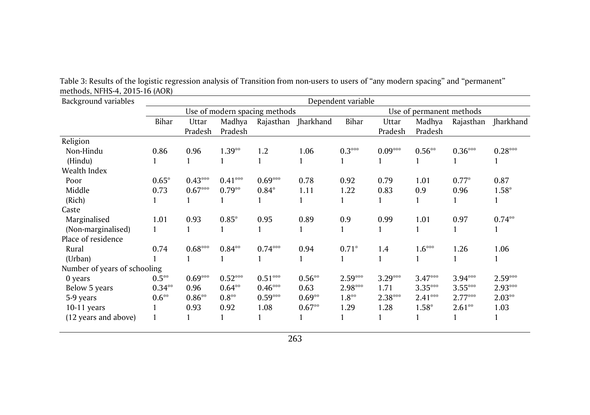| Background variables         | Dependent variable |           |           |                               |                     |                          |           |           |           |                  |  |  |  |
|------------------------------|--------------------|-----------|-----------|-------------------------------|---------------------|--------------------------|-----------|-----------|-----------|------------------|--|--|--|
|                              |                    |           |           | Use of modern spacing methods |                     | Use of permanent methods |           |           |           |                  |  |  |  |
|                              | Bihar              | Uttar     | Madhya    |                               | Rajasthan Jharkhand | Bihar                    | Uttar     | Madhya    | Rajasthan | <b>Iharkhand</b> |  |  |  |
|                              |                    | Pradesh   | Pradesh   |                               |                     |                          | Pradesh   | Pradesh   |           |                  |  |  |  |
| Religion                     |                    |           |           |                               |                     |                          |           |           |           |                  |  |  |  |
| Non-Hindu                    | 0.86               | 0.96      | $1.39**$  | 1.2                           | 1.06                | $0.3***$                 | $0.09***$ | $0.56**$  | $0.36***$ | $0.28***$        |  |  |  |
| (Hindu)                      |                    |           |           |                               |                     |                          |           |           |           |                  |  |  |  |
| Wealth Index                 |                    |           |           |                               |                     |                          |           |           |           |                  |  |  |  |
| Poor                         | $0.65*$            | $0.43***$ | $0.41***$ | $0.69***$                     | 0.78                | 0.92                     | 0.79      | 1.01      | $0.77*$   | 0.87             |  |  |  |
| Middle                       | 0.73               | $0.67***$ | $0.79**$  | $0.84*$                       | 1.11                | 1.22                     | 0.83      | 0.9       | 0.96      | $1.58*$          |  |  |  |
| (Rich)                       |                    |           |           |                               |                     |                          |           |           |           |                  |  |  |  |
| Caste                        |                    |           |           |                               |                     |                          |           |           |           |                  |  |  |  |
| Marginalised                 | 1.01               | 0.93      | $0.85*$   | 0.95                          | 0.89                | 0.9                      | 0.99      | 1.01      | 0.97      | $0.74**$         |  |  |  |
| (Non-marginalised)           |                    |           |           |                               |                     |                          |           |           |           | 1                |  |  |  |
| Place of residence           |                    |           |           |                               |                     |                          |           |           |           |                  |  |  |  |
| Rural                        | 0.74               | $0.68***$ | $0.84**$  | $0.74***$                     | 0.94                | $0.71*$                  | 1.4       | $1.6***$  | 1.26      | 1.06             |  |  |  |
| (Urban)                      |                    | 1         |           |                               |                     |                          |           |           |           |                  |  |  |  |
| Number of years of schooling |                    |           |           |                               |                     |                          |           |           |           |                  |  |  |  |
| 0 years                      | $0.5^{**}$         | $0.69***$ | $0.52***$ | $0.51***$                     | $0.56**$            | $2.59***$                | $3.29***$ | $3.47***$ | 3.94***   | $2.59***$        |  |  |  |
| Below 5 years                | $0.34**$           | 0.96      | $0.64**$  | $0.46***$                     | 0.63                | 2.98***                  | 1.71      | $3.35***$ | $3.55***$ | 2.93***          |  |  |  |
| 5-9 years                    | $0.6^{**}$         | $0.86**$  | $0.8**$   | $0.59***$                     | $0.69**$            | $1.8**$                  | $2.38***$ | $2.41***$ | $2.77***$ | $2.03**$         |  |  |  |
| $10-11$ years                |                    | 0.93      | 0.92      | 1.08                          | $0.67**$            | 1.29                     | 1.28      | $1.58*$   | $2.61**$  | 1.03             |  |  |  |
| (12 years and above)         |                    | 1         |           |                               |                     |                          |           |           |           | 1                |  |  |  |

Table 3: Results of the logistic regression analysis of Transition from non-users to users of "any modern spacing" and "permanent" methods, NFHS-4, 2015-16 (AOR)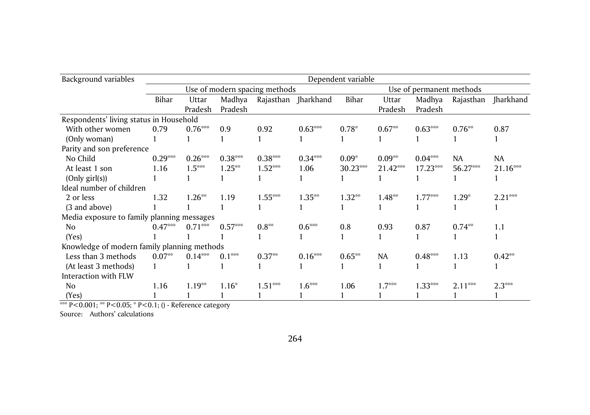| Background variables                        | Dependent variable |           |           |                               |           |                          |            |           |           |            |  |  |
|---------------------------------------------|--------------------|-----------|-----------|-------------------------------|-----------|--------------------------|------------|-----------|-----------|------------|--|--|
|                                             |                    |           |           | Use of modern spacing methods |           | Use of permanent methods |            |           |           |            |  |  |
|                                             | Bihar              | Uttar     | Madhya    | Rajasthan                     | Jharkhand | Bihar                    | Uttar      | Madhya    | Rajasthan | Jharkhand  |  |  |
|                                             |                    | Pradesh   | Pradesh   |                               |           |                          | Pradesh    | Pradesh   |           |            |  |  |
| Respondents' living status in Household     |                    |           |           |                               |           |                          |            |           |           |            |  |  |
| With other women                            | 0.79               | $0.76***$ | 0.9       | 0.92                          | $0.63***$ | $0.78*$                  | $0.67**$   | $0.63***$ | $0.76**$  | 0.87       |  |  |
| (Only woman)                                |                    |           |           |                               |           |                          |            |           |           |            |  |  |
| Parity and son preference                   |                    |           |           |                               |           |                          |            |           |           |            |  |  |
| No Child                                    | $0.29***$          | $0.26***$ | $0.38***$ | $0.38***$                     | $0.34***$ | $0.09*$                  | $0.09**$   | $0.04***$ | NA.       | <b>NA</b>  |  |  |
| At least 1 son                              | 1.16               | $1.5***$  | $1.25**$  | $1.52***$                     | 1.06      | 30.23***                 | $21.42***$ | 17.23***  | 56.27***  | $21.16***$ |  |  |
| (Only girl(s))                              |                    |           |           |                               |           |                          |            |           |           |            |  |  |
| Ideal number of children                    |                    |           |           |                               |           |                          |            |           |           |            |  |  |
| 2 or less                                   | 1.32               | $1.26**$  | 1.19      | $1.55***$                     | $1.35***$ | $1.32**$                 | $1.48**$   | $1.77***$ | $1.29*$   | $2.21***$  |  |  |
| (3 and above)                               |                    |           |           |                               |           |                          |            |           |           |            |  |  |
| Media exposure to family planning messages  |                    |           |           |                               |           |                          |            |           |           |            |  |  |
| No.                                         | $0.47***$          | $0.71***$ | $0.57***$ | $0.8^{**}$                    | $0.6***$  | 0.8                      | 0.93       | 0.87      | $0.74**$  | 1.1        |  |  |
| (Yes)                                       |                    |           |           |                               |           |                          |            |           |           |            |  |  |
| Knowledge of modern family planning methods |                    |           |           |                               |           |                          |            |           |           |            |  |  |
| Less than 3 methods                         | $0.07**$           | $0.14***$ | $0.1***$  | $0.37**$                      | $0.16***$ | $0.65**$                 | <b>NA</b>  | $0.48***$ | 1.13      | $0.42**$   |  |  |
| (At least 3 methods)                        |                    |           |           |                               |           |                          |            |           |           |            |  |  |
| Interaction with FLW                        |                    |           |           |                               |           |                          |            |           |           |            |  |  |
| No                                          | 1.16               | $1.19**$  | $1.16*$   | $1.51***$                     | $1.6***$  | 1.06                     | $1.7***$   | $1.33***$ | $2.11***$ | $2.3***$   |  |  |
| (Yes)                                       |                    |           |           |                               |           |                          |            |           |           |            |  |  |

\*\*\* P<0.001; \*\* P<0.05; \* P<0.1; () - Reference category

Source: Authors' calculations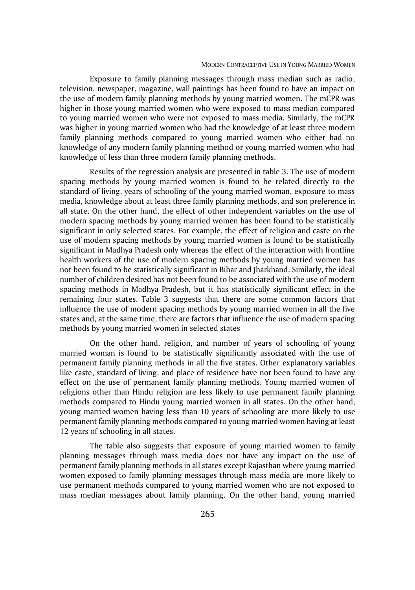Exposure to family planning messages through mass median such as radio, television, newspaper, magazine, wall paintings has been found to have an impact on the use of modern family planning methods by young married women. The mCPR was higher in those young married women who were exposed to mass median compared to young married women who were not exposed to mass media. Similarly, the mCPR was higher in young married women who had the knowledge of at least three modern family planning methods compared to young married women who either had no knowledge of any modern family planning method or young married women who had knowledge of less than three modern family planning methods.

Results of the regression analysis are presented in table 3. The use of modern spacing methods by young married women is found to be related directly to the standard of living, years of schooling of the young married woman, exposure to mass media, knowledge about at least three family planning methods, and son preference in all state. On the other hand, the effect of other independent variables on the use of modern spacing methods by young married women has been found to be statistically significant in only selected states. For example, the effect of religion and caste on the use of modern spacing methods by young married women is found to be statistically significant in Madhya Pradesh only whereas the effect of the interaction with frontline health workers of the use of modern spacing methods by young married women has not been found to be statistically significant in Bihar and Jharkhand. Similarly, the ideal number of children desired has not been found to be associated with the use of modern spacing methods in Madhya Pradesh, but it has statistically significant effect in the remaining four states. Table 3 suggests that there are some common factors that influence the use of modern spacing methods by young married women in all the five states and, at the same time, there are factors that influence the use of modern spacing methods by young married women in selected states

On the other hand, religion, and number of years of schooling of young married woman is found to be statistically significantly associated with the use of permanent family planning methods in all the five states. Other explanatory variables like caste, standard of living, and place of residence have not been found to have any effect on the use of permanent family planning methods. Young married women of religions other than Hindu religion are less likely to use permanent family planning methods compared to Hindu young married women in all states. On the other hand, young married women having less than 10 years of schooling are more likely to use permanent family planning methods compared to young married women having at least 12 years of schooling in all states.

The table also suggests that exposure of young married women to family planning messages through mass media does not have any impact on the use of permanent family planning methods in all states except Rajasthan where young married women exposed to family planning messages through mass media are more likely to use permanent methods compared to young married women who are not exposed to mass median messages about family planning. On the other hand, young married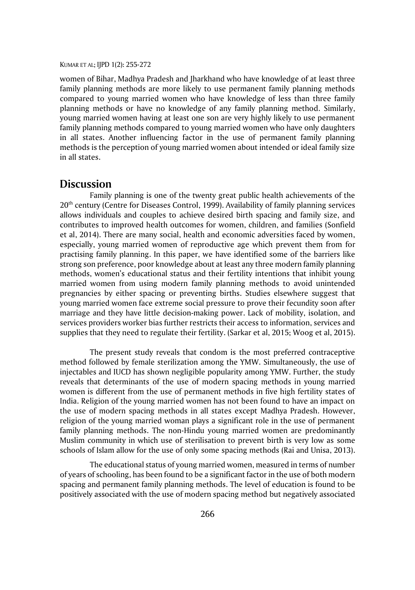women of Bihar, Madhya Pradesh and Jharkhand who have knowledge of at least three family planning methods are more likely to use permanent family planning methods compared to young married women who have knowledge of less than three family planning methods or have no knowledge of any family planning method. Similarly, young married women having at least one son are very highly likely to use permanent family planning methods compared to young married women who have only daughters in all states. Another influencing factor in the use of permanent family planning methods is the perception of young married women about intended or ideal family size in all states.

### **Discussion**

Family planning is one of the twenty great public health achievements of the 20th century (Centre for Diseases Control, 1999). Availability of family planning services allows individuals and couples to achieve desired birth spacing and family size, and contributes to improved health outcomes for women, children, and families (Sonfield et al, 2014). There are many social, health and economic adversities faced by women, especially, young married women of reproductive age which prevent them from for practising family planning. In this paper, we have identified some of the barriers like strong son preference, poor knowledge about at least any three modern family planning methods, women's educational status and their fertility intentions that inhibit young married women from using modern family planning methods to avoid unintended pregnancies by either spacing or preventing births. Studies elsewhere suggest that young married women face extreme social pressure to prove their fecundity soon after marriage and they have little decision-making power. Lack of mobility, isolation, and services providers worker bias further restricts their access to information, services and supplies that they need to regulate their fertility. (Sarkar et al, 2015; Woog et al, 2015).

The present study reveals that condom is the most preferred contraceptive method followed by female sterilization among the YMW. Simultaneously, the use of injectables and IUCD has shown negligible popularity among YMW. Further, the study reveals that determinants of the use of modern spacing methods in young married women is different from the use of permanent methods in five high fertility states of India. Religion of the young married women has not been found to have an impact on the use of modern spacing methods in all states except Madhya Pradesh. However, religion of the young married woman plays a significant role in the use of permanent family planning methods. The non-Hindu young married women are predominantly Muslim community in which use of sterilisation to prevent birth is very low as some schools of Islam allow for the use of only some spacing methods (Rai and Unisa, 2013).

The educational status of young married women, measured in terms of number of years of schooling, has been found to be a significant factor in the use of both modern spacing and permanent family planning methods. The level of education is found to be positively associated with the use of modern spacing method but negatively associated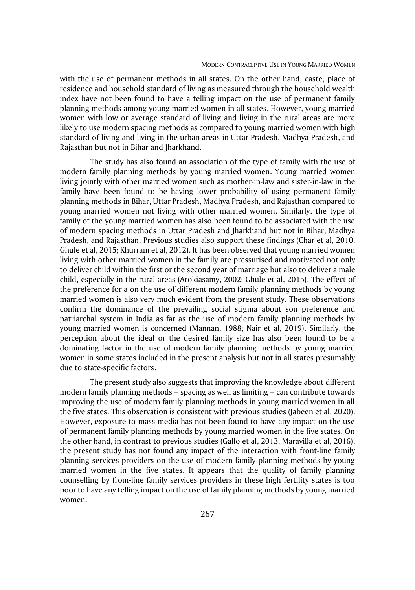with the use of permanent methods in all states. On the other hand, caste, place of residence and household standard of living as measured through the household wealth index have not been found to have a telling impact on the use of permanent family planning methods among young married women in all states. However, young married women with low or average standard of living and living in the rural areas are more likely to use modern spacing methods as compared to young married women with high standard of living and living in the urban areas in Uttar Pradesh, Madhya Pradesh, and Rajasthan but not in Bihar and Jharkhand.

The study has also found an association of the type of family with the use of modern family planning methods by young married women. Young married women living jointly with other married women such as mother-in-law and sister-in-law in the family have been found to be having lower probability of using permanent family planning methods in Bihar, Uttar Pradesh, Madhya Pradesh, and Rajasthan compared to young married women not living with other married women. Similarly, the type of family of the young married women has also been found to be associated with the use of modern spacing methods in Uttar Pradesh and Jharkhand but not in Bihar, Madhya Pradesh, and Rajasthan. Previous studies also support these findings (Char et al, 2010; Ghule et al, 2015; Khurram et al, 2012). It has been observed that young married women living with other married women in the family are pressurised and motivated not only to deliver child within the first or the second year of marriage but also to deliver a male child, especially in the rural areas (Arokiasamy, 2002; Ghule et al, 2015). The effect of the preference for a on the use of different modern family planning methods by young married women is also very much evident from the present study. These observations confirm the dominance of the prevailing social stigma about son preference and patriarchal system in India as far as the use of modern family planning methods by young married women is concerned (Mannan, 1988; Nair et al, 2019). Similarly, the perception about the ideal or the desired family size has also been found to be a dominating factor in the use of modern family planning methods by young married women in some states included in the present analysis but not in all states presumably due to state-specific factors.

The present study also suggests that improving the knowledge about different modern family planning methods – spacing as well as limiting – can contribute towards improving the use of modern family planning methods in young married women in all the five states. This observation is consistent with previous studies (Jabeen et al, 2020). However, exposure to mass media has not been found to have any impact on the use of permanent family planning methods by young married women in the five states. On the other hand, in contrast to previous studies (Gallo et al, 2013; Maravilla et al, 2016), the present study has not found any impact of the interaction with front-line family planning services providers on the use of modern family planning methods by young married women in the five states. It appears that the quality of family planning counselling by from-line family services providers in these high fertility states is too poor to have any telling impact on the use of family planning methods by young married women.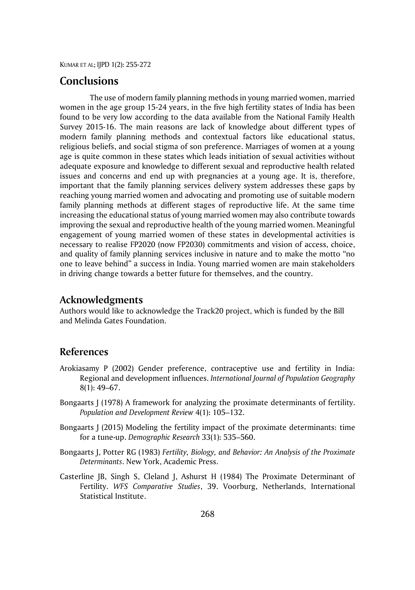# **Conclusions**

The use of modern family planning methods in young married women, married women in the age group 15-24 years, in the five high fertility states of India has been found to be very low according to the data available from the National Family Health Survey 2015-16. The main reasons are lack of knowledge about different types of modern family planning methods and contextual factors like educational status, religious beliefs, and social stigma of son preference. Marriages of women at a young age is quite common in these states which leads initiation of sexual activities without adequate exposure and knowledge to different sexual and reproductive health related issues and concerns and end up with pregnancies at a young age. It is, therefore, important that the family planning services delivery system addresses these gaps by reaching young married women and advocating and promoting use of suitable modern family planning methods at different stages of reproductive life. At the same time increasing the educational status of young married women may also contribute towards improving the sexual and reproductive health of the young married women. Meaningful engagement of young married women of these states in developmental activities is necessary to realise FP2020 (now FP2030) commitments and vision of access, choice, and quality of family planning services inclusive in nature and to make the motto "no one to leave behind" a success in India. Young married women are main stakeholders in driving change towards a better future for themselves, and the country.

# **Acknowledgments**

Authors would like to acknowledge the Track20 project, which is funded by the Bill and Melinda Gates Foundation.

# **References**

- Arokiasamy P (2002) Gender preference, contraceptive use and fertility in India: Regional and development influences. *International Journal of Population Geography* 8(1): 49–67.
- Bongaarts J (1978) A framework for analyzing the proximate determinants of fertility. *Population and Development Review* 4(1): 105–132.
- Bongaarts J (2015) Modeling the fertility impact of the proximate determinants: time for a tune-up. *Demographic Research* 33(1): 535–560.
- Bongaarts J, Potter RG (1983) *Fertility, Biology, and Behavior: An Analysis of the Proximate Determinants*. New York, Academic Press.
- Casterline JB, Singh S, Cleland J, Ashurst H (1984) The Proximate Determinant of Fertility. *WFS Comparative Studies*, 39. Voorburg, Netherlands, International Statistical Institute.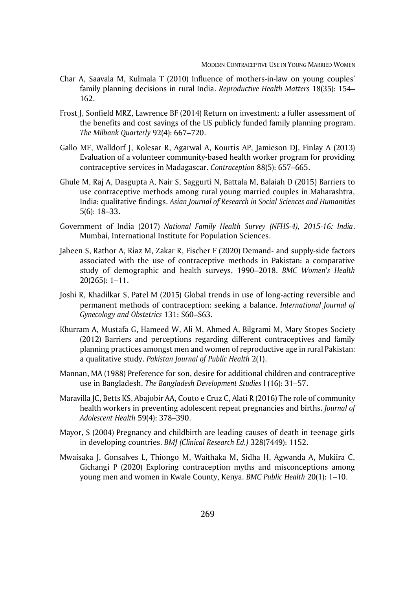- Char A, Saavala M, Kulmala T (2010) Influence of mothers-in-law on young couples' family planning decisions in rural India. *Reproductive Health Matters* 18(35): 154– 162.
- Frost J, Sonfield MRZ, Lawrence BF (2014) Return on investment: a fuller assessment of the benefits and cost savings of the US publicly funded family planning program. *The Milbank Quarterly* 92(4): 667–720.
- Gallo MF, Walldorf J, Kolesar R, Agarwal A, Kourtis AP, Jamieson DJ, Finlay A (2013) Evaluation of a volunteer community-based health worker program for providing contraceptive services in Madagascar. *Contraception* 88(5): 657–665.
- Ghule M, Raj A, Dasgupta A, Nair S, Saggurti N, Battala M, Balaiah D (2015) Barriers to use contraceptive methods among rural young married couples in Maharashtra, India: qualitative findings. *Asian Journal of Research in Social Sciences and Humanities* 5(6): 18–33.
- Government of India (2017) *National Family Health Survey (NFHS-4), 2015-16: India*. Mumbai, International Institute for Population Sciences.
- Jabeen S, Rathor A, Riaz M, Zakar R, Fischer F (2020) Demand- and supply-side factors associated with the use of contraceptive methods in Pakistan: a comparative study of demographic and health surveys, 1990–2018. *BMC Women's Health* 20(265): 1–11.
- Joshi R, Khadilkar S, Patel M (2015) Global trends in use of long-acting reversible and permanent methods of contraception: seeking a balance. *International Journal of Gynecology and Obstetrics* 131: S60–S63.
- Khurram A, Mustafa G, Hameed W, Ali M, Ahmed A, Bilgrami M, Mary Stopes Society (2012) Barriers and perceptions regarding different contraceptives and family planning practices amongst men and women of reproductive age in rural Pakistan: a qualitative study. *Pakistan Journal of Public Health* 2(1).
- Mannan, MA (1988) Preference for son, desire for additional children and contraceptive use in Bangladesh. *The Bangladesh Development Studies* l (16): 31–57.
- Maravilla JC, Betts KS, Abajobir AA, Couto e Cruz C, Alati R (2016) The role of community health workers in preventing adolescent repeat pregnancies and births. *Journal of Adolescent Health* 59(4): 378–390.
- Mayor, S (2004) Pregnancy and childbirth are leading causes of death in teenage girls in developing countries. *BMJ (Clinical Research Ed.)* 328(7449): 1152.
- Mwaisaka J, Gonsalves L, Thiongo M, Waithaka M, Sidha H, Agwanda A, Mukiira C, Gichangi P (2020) Exploring contraception myths and misconceptions among young men and women in Kwale County, Kenya. *BMC Public Health* 20(1): 1–10.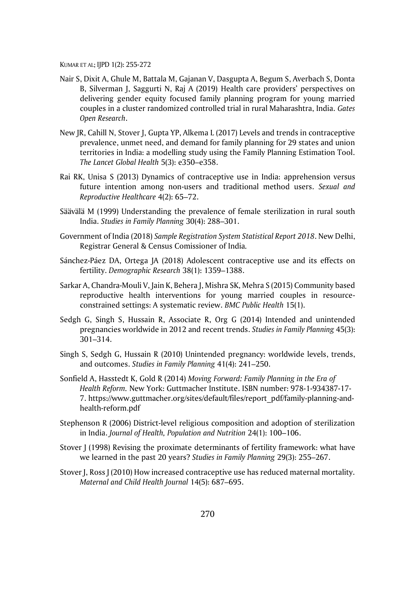- Nair S, Dixit A, Ghule M, Battala M, Gajanan V, Dasgupta A, Begum S, Averbach S, Donta B, Silverman J, Saggurti N, Raj A (2019) Health care providers' perspectives on delivering gender equity focused family planning program for young married couples in a cluster randomized controlled trial in rural Maharashtra, India. *Gates Open Research*.
- New JR, Cahill N, Stover J, Gupta YP, Alkema L (2017) Levels and trends in contraceptive prevalence, unmet need, and demand for family planning for 29 states and union territories in India: a modelling study using the Family Planning Estimation Tool. *The Lancet Global Health* 5(3): e350–e358.
- Rai RK, Unisa S (2013) Dynamics of contraceptive use in India: apprehension versus future intention among non-users and traditional method users. *Sexual and Reproductive Healthcare* 4(2): 65–72.
- Säävälä M (1999) Understanding the prevalence of female sterilization in rural south India. *Studies in Family Planning* 30(4): 288–301.
- Government of India (2018) *Sample Registration System Statistical Report 2018*. New Delhi, Registrar General & Census Comissioner of India*.*
- Sánchez-Páez DA, Ortega JA (2018) Adolescent contraceptive use and its effects on fertility. *Demographic Research* 38(1): 1359–1388.
- Sarkar A, Chandra-Mouli V, Jain K, Behera J, Mishra SK, Mehra S (2015) Community based reproductive health interventions for young married couples in resourceconstrained settings: A systematic review. *BMC Public Health* 15(1).
- Sedgh G, Singh S, Hussain R, Associate R, Org G (2014) Intended and unintended pregnancies worldwide in 2012 and recent trends. *Studies in Family Planning* 45(3): 301–314.
- Singh S, Sedgh G, Hussain R (2010) Unintended pregnancy: worldwide levels, trends, and outcomes. *Studies in Family Planning* 41(4): 241–250.
- Sonfield A, Hasstedt K, Gold R (2014) *Moving Forward: Family Planning in the Era of Health Reform.* New York: Guttmacher Institute. ISBN number: 978-1-934387-17- 7. https://www.guttmacher.org/sites/default/files/report\_pdf/family-planning-andhealth-reform.pdf
- Stephenson R (2006) District-level religious composition and adoption of sterilization in India. *Journal of Health, Population and Nutrition* 24(1): 100–106.
- Stover J (1998) Revising the proximate determinants of fertility framework: what have we learned in the past 20 years? *Studies in Family Planning* 29(3): 255–267.
- Stover J, Ross J (2010) How increased contraceptive use has reduced maternal mortality. *Maternal and Child Health Journal* 14(5): 687–695.